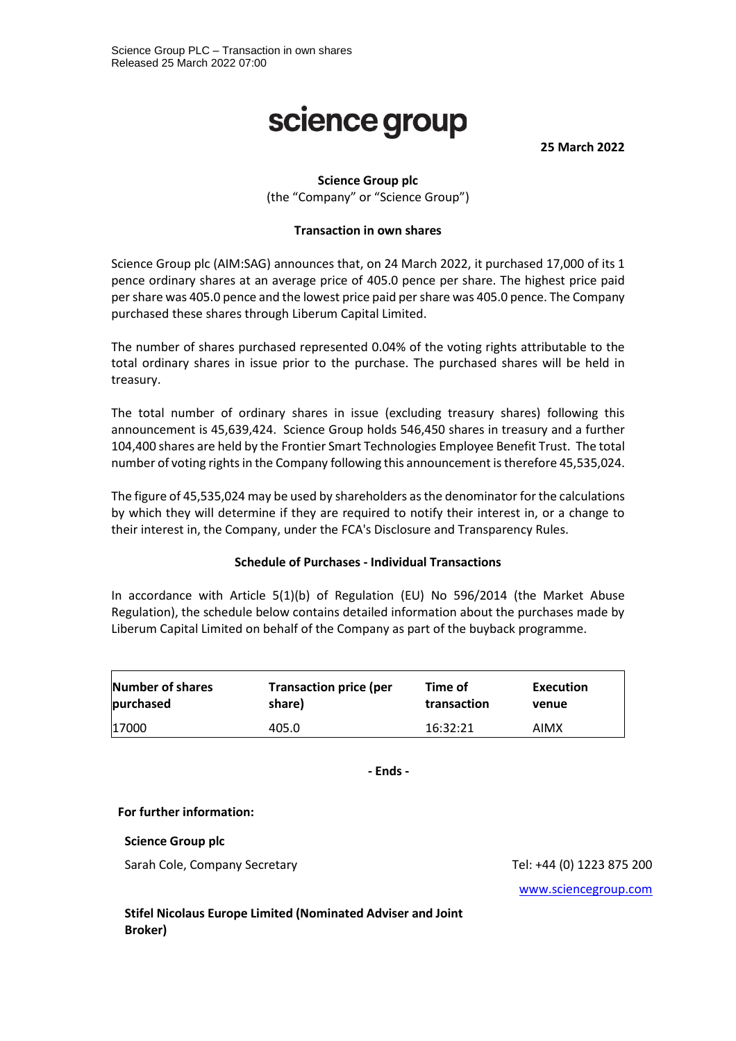# science group

**25 March 2022**

# **Science Group plc**

(the "Company" or "Science Group")

### **Transaction in own shares**

Science Group plc (AIM:SAG) announces that, on 24 March 2022, it purchased 17,000 of its 1 pence ordinary shares at an average price of 405.0 pence per share. The highest price paid per share was 405.0 pence and the lowest price paid per share was 405.0 pence. The Company purchased these shares through Liberum Capital Limited.

The number of shares purchased represented 0.04% of the voting rights attributable to the total ordinary shares in issue prior to the purchase. The purchased shares will be held in treasury.

The total number of ordinary shares in issue (excluding treasury shares) following this announcement is 45,639,424. Science Group holds 546,450 shares in treasury and a further 104,400 shares are held by the Frontier Smart Technologies Employee Benefit Trust. The total number of voting rights in the Company following this announcement is therefore 45,535,024.

The figure of 45,535,024 may be used by shareholders as the denominator for the calculations by which they will determine if they are required to notify their interest in, or a change to their interest in, the Company, under the FCA's Disclosure and Transparency Rules.

### **Schedule of Purchases - Individual Transactions**

In accordance with Article 5(1)(b) of Regulation (EU) No 596/2014 (the Market Abuse Regulation), the schedule below contains detailed information about the purchases made by Liberum Capital Limited on behalf of the Company as part of the buyback programme.

| Number of shares | <b>Transaction price (per</b> | Time of     | Execution |
|------------------|-------------------------------|-------------|-----------|
| purchased        | share)                        | transaction | venue     |
| 17000            | 405.0                         | 16:32:21    | AIMX      |

**- Ends -**

### **For further information:**

**Science Group plc**

Sarah Cole, Company Secretary Tel: +44 (0) 1223 875 200

[www.sciencegroup.com](http://www.sciencegroup.com/)

**Stifel Nicolaus Europe Limited (Nominated Adviser and Joint Broker)**